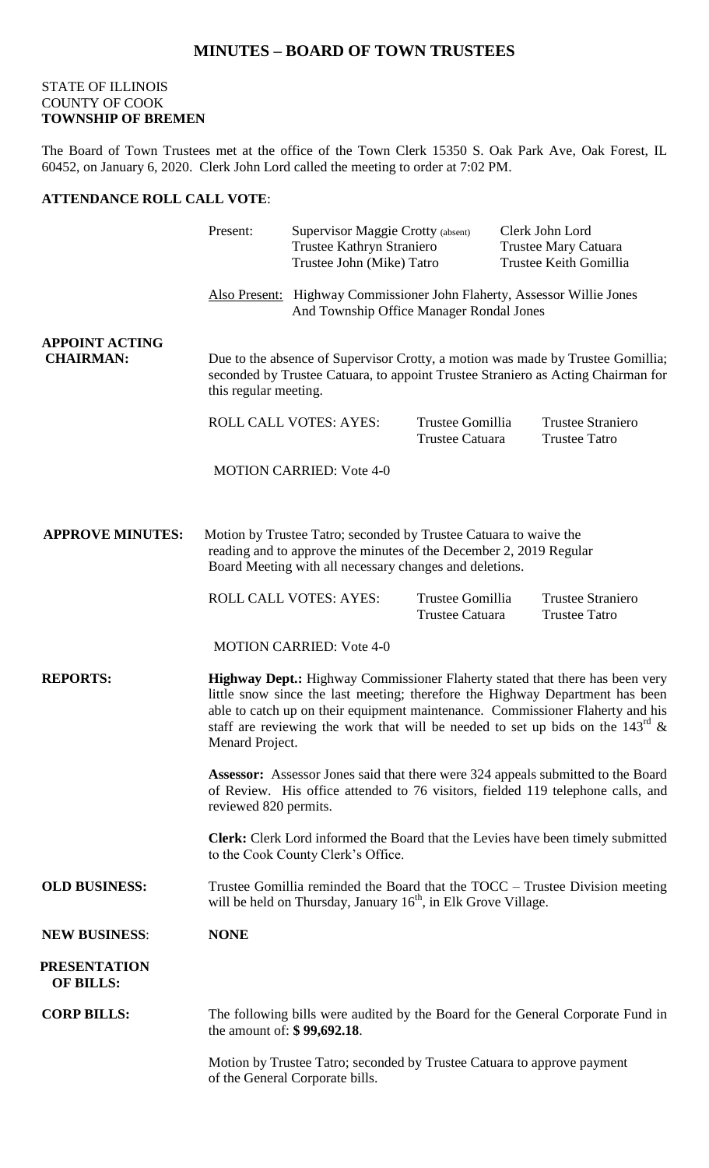## STATE OF ILLINOIS COUNTY OF COOK **TOWNSHIP OF BREMEN**

The Board of Town Trustees met at the office of the Town Clerk 15350 S. Oak Park Ave, Oak Forest, IL 60452, on January 6, 2020. Clerk John Lord called the meeting to order at 7:02 PM.

## **ATTENDANCE ROLL CALL VOTE**:

|                                           | Present:                                                                                                                                                                                                                                                                                                                                                         | Supervisor Maggie Crotty (absent)<br>Trustee Kathryn Straniero<br>Trustee John (Mike) Tatro                                                                                                         |                                            |                                                                                                                     | Clerk John Lord<br>Trustee Mary Catuara<br>Trustee Keith Gomillia                      |  |
|-------------------------------------------|------------------------------------------------------------------------------------------------------------------------------------------------------------------------------------------------------------------------------------------------------------------------------------------------------------------------------------------------------------------|-----------------------------------------------------------------------------------------------------------------------------------------------------------------------------------------------------|--------------------------------------------|---------------------------------------------------------------------------------------------------------------------|----------------------------------------------------------------------------------------|--|
|                                           |                                                                                                                                                                                                                                                                                                                                                                  |                                                                                                                                                                                                     |                                            | Also Present: Highway Commissioner John Flaherty, Assessor Willie Jones<br>And Township Office Manager Rondal Jones |                                                                                        |  |
| <b>APPOINT ACTING</b><br><b>CHAIRMAN:</b> | Due to the absence of Supervisor Crotty, a motion was made by Trustee Gomillia;<br>seconded by Trustee Catuara, to appoint Trustee Straniero as Acting Chairman for<br>this regular meeting.                                                                                                                                                                     |                                                                                                                                                                                                     |                                            |                                                                                                                     |                                                                                        |  |
|                                           |                                                                                                                                                                                                                                                                                                                                                                  | <b>ROLL CALL VOTES: AYES:</b>                                                                                                                                                                       | Trustee Gomillia<br><b>Trustee Catuara</b> |                                                                                                                     | <b>Trustee Straniero</b><br><b>Trustee Tatro</b>                                       |  |
|                                           |                                                                                                                                                                                                                                                                                                                                                                  | <b>MOTION CARRIED: Vote 4-0</b>                                                                                                                                                                     |                                            |                                                                                                                     |                                                                                        |  |
| <b>APPROVE MINUTES:</b>                   |                                                                                                                                                                                                                                                                                                                                                                  | Motion by Trustee Tatro; seconded by Trustee Catuara to waive the<br>reading and to approve the minutes of the December 2, 2019 Regular<br>Board Meeting with all necessary changes and deletions.  |                                            |                                                                                                                     |                                                                                        |  |
|                                           |                                                                                                                                                                                                                                                                                                                                                                  | ROLL CALL VOTES: AYES:                                                                                                                                                                              | Trustee Gomillia<br><b>Trustee Catuara</b> |                                                                                                                     | <b>Trustee Straniero</b><br><b>Trustee Tatro</b>                                       |  |
|                                           |                                                                                                                                                                                                                                                                                                                                                                  | <b>MOTION CARRIED: Vote 4-0</b>                                                                                                                                                                     |                                            |                                                                                                                     |                                                                                        |  |
| <b>REPORTS:</b>                           | Highway Dept.: Highway Commissioner Flaherty stated that there has been very<br>little snow since the last meeting; therefore the Highway Department has been<br>able to catch up on their equipment maintenance. Commissioner Flaherty and his<br>staff are reviewing the work that will be needed to set up bids on the $143^{\text{rd}}$ &<br>Menard Project. |                                                                                                                                                                                                     |                                            |                                                                                                                     |                                                                                        |  |
|                                           |                                                                                                                                                                                                                                                                                                                                                                  | <b>Assessor:</b> Assessor Jones said that there were 324 appeals submitted to the Board<br>of Review. His office attended to 76 visitors, fielded 119 telephone calls, and<br>reviewed 820 permits. |                                            |                                                                                                                     |                                                                                        |  |
|                                           |                                                                                                                                                                                                                                                                                                                                                                  | to the Cook County Clerk's Office.                                                                                                                                                                  |                                            |                                                                                                                     | <b>Clerk:</b> Clerk Lord informed the Board that the Levies have been timely submitted |  |
| <b>OLD BUSINESS:</b>                      | Trustee Gomillia reminded the Board that the $TOCC - T$ rustee Division meeting<br>will be held on Thursday, January 16 <sup>th</sup> , in Elk Grove Village.                                                                                                                                                                                                    |                                                                                                                                                                                                     |                                            |                                                                                                                     |                                                                                        |  |
| <b>NEW BUSINESS:</b>                      | <b>NONE</b>                                                                                                                                                                                                                                                                                                                                                      |                                                                                                                                                                                                     |                                            |                                                                                                                     |                                                                                        |  |
| <b>PRESENTATION</b><br><b>OF BILLS:</b>   |                                                                                                                                                                                                                                                                                                                                                                  |                                                                                                                                                                                                     |                                            |                                                                                                                     |                                                                                        |  |
| <b>CORP BILLS:</b>                        | The following bills were audited by the Board for the General Corporate Fund in<br>the amount of: \$99,692.18.                                                                                                                                                                                                                                                   |                                                                                                                                                                                                     |                                            |                                                                                                                     |                                                                                        |  |
|                                           | Motion by Trustee Tatro; seconded by Trustee Catuara to approve payment<br>of the General Corporate bills.                                                                                                                                                                                                                                                       |                                                                                                                                                                                                     |                                            |                                                                                                                     |                                                                                        |  |